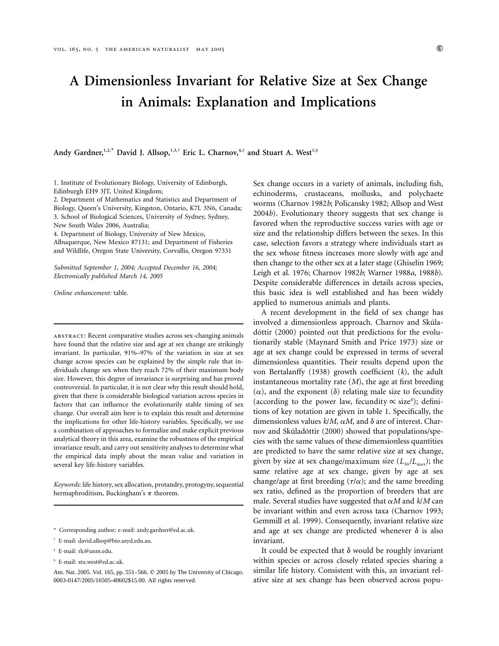# **A Dimensionless Invariant for Relative Size at Sex Change in Animals: Explanation and Implications**

Andy Gardner,<sup>1,2,\*</sup> David J. Allsop,<sup>1,3,†</sup> Eric L. Charnov,<sup>4,‡</sup> and Stuart A. West<sup>1,§</sup>

1. Institute of Evolutionary Biology, University of Edinburgh, Edinburgh EH9 3JT, United Kingdom;

2. Department of Mathematics and Statistics and Department of Biology, Queen's University, Kingston, Ontario, K7L 3N6, Canada; 3. School of Biological Sciences, University of Sydney, Sydney, New South Wales 2006, Australia;

4. Department of Biology, University of New Mexico,

Albuquerque, New Mexico 87131; and Department of Fisheries and Wildlife, Oregon State University, Corvallis, Oregon 97331

*Submitted September 1, 2004; Accepted December 16, 2004; Electronically published March 14, 2005*

*Online enhancement:* table.

abstract: Recent comparative studies across sex-changing animals have found that the relative size and age at sex change are strikingly invariant. In particular, 91%–97% of the variation in size at sex change across species can be explained by the simple rule that individuals change sex when they reach 72% of their maximum body size. However, this degree of invariance is surprising and has proved controversial. In particular, it is not clear why this result should hold, given that there is considerable biological variation across species in factors that can influence the evolutionarily stable timing of sex change. Our overall aim here is to explain this result and determine the implications for other life-history variables. Specifically, we use a combination of approaches to formalize and make explicit previous analytical theory in this area, examine the robustness of the empirical invariance result, and carry out sensitivity analyses to determine what the empirical data imply about the mean value and variation in several key life-history variables.

*Keywords:* life history, sex allocation, protandry, protogyny, sequential hermaphroditism, Buckingham's  $\pi$  theorem.

- \* Corresponding author; e-mail: andy.gardner@ed.ac.uk.
- † E-mail: david.allsop@bio.usyd.edu.au.
- ‡ E-mail: rlc@unm.edu.
- § E-mail: stu.west@ed.ac.uk.

Sex change occurs in a variety of animals, including fish, echinoderms, crustaceans, mollusks, and polychaete worms (Charnov 1982*b*; Policansky 1982; Allsop and West 2004*b*). Evolutionary theory suggests that sex change is favored when the reproductive success varies with age or size and the relationship differs between the sexes. In this case, selection favors a strategy where individuals start as the sex whose fitness increases more slowly with age and then change to the other sex at a later stage (Ghiselin 1969; Leigh et al. 1976; Charnov 1982*b*; Warner 1988*a*, 1988*b*). Despite considerable differences in details across species, this basic idea is well established and has been widely applied to numerous animals and plants.

A recent development in the field of sex change has involved a dimensionless approach. Charnov and Skúladóttir (2000) pointed out that predictions for the evolutionarily stable (Maynard Smith and Price 1973) size or age at sex change could be expressed in terms of several dimensionless quantities. Their results depend upon the von Bertalanffy (1938) growth coefficient (*k*), the adult instantaneous mortality rate (*M*), the age at first breeding  $(\alpha)$ , and the exponent  $(\delta)$  relating male size to fecundity (according to the power law, fecundity  $\propto$  size<sup> $\delta$ </sup>); definitions of key notation are given in table 1. Specifically, the dimensionless values  $k/M$ ,  $\alpha M$ , and  $\delta$  are of interest. Charnov and Skúladóttir (2000) showed that populations/species with the same values of these dimensionless quantities are predicted to have the same relative size at sex change, given by size at sex change/maximum size  $(L_{50}/L_{\text{max}})$ ; the same relative age at sex change, given by age at sex change/age at first breeding  $(\tau/\alpha)$ ; and the same breeding sex ratio, defined as the proportion of breeders that are male. Several studies have suggested that  $\alpha M$  and  $k/M$  can be invariant within and even across taxa (Charnov 1993; Gemmill et al. 1999). Consequently, invariant relative size and age at sex change are predicted whenever  $\delta$  is also invariant.

It could be expected that  $\delta$  would be roughly invariant within species or across closely related species sharing a similar life history. Consistent with this, an invariant relative size at sex change has been observed across popu-

Am. Nat. 2005. Vol. 165, pp. 551-566.  $©$  2005 by The University of Chicago. 0003-0147/2005/16505-40602\$15.00. All rights reserved.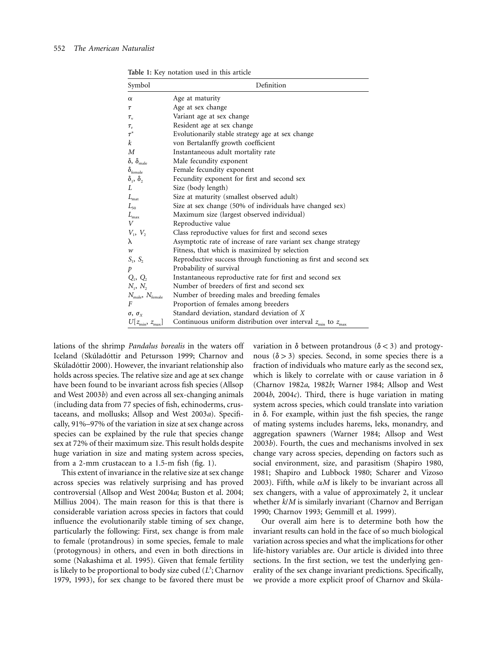| Table 1: Key notation used in this article |  |  |  |  |
|--------------------------------------------|--|--|--|--|
|--------------------------------------------|--|--|--|--|

| Symbol                                  | Definition                                                                         |  |  |  |
|-----------------------------------------|------------------------------------------------------------------------------------|--|--|--|
| $\alpha$                                | Age at maturity                                                                    |  |  |  |
| Τ                                       | Age at sex change                                                                  |  |  |  |
| $\tau_{\rm v}$                          | Variant age at sex change                                                          |  |  |  |
| $\tau_{\rm r}$                          | Resident age at sex change                                                         |  |  |  |
| $\tau^*$                                | Evolutionarily stable strategy age at sex change                                   |  |  |  |
| k                                       | von Bertalanffy growth coefficient                                                 |  |  |  |
| $\boldsymbol{M}$                        | Instantaneous adult mortality rate                                                 |  |  |  |
| $\delta$ , $\delta_{\text{male}}$       | Male fecundity exponent                                                            |  |  |  |
| $\delta_{\text{female}}$                | Female fecundity exponent                                                          |  |  |  |
| $\delta_1$ , $\delta_2$                 | Fecundity exponent for first and second sex                                        |  |  |  |
| L                                       | Size (body length)                                                                 |  |  |  |
| $L_{\hbox{\scriptsize mat}}$            | Size at maturity (smallest observed adult)                                         |  |  |  |
| $L_{50}$                                | Size at sex change (50% of individuals have changed sex)                           |  |  |  |
| $L_{\rm max}$                           | Maximum size (largest observed individual)                                         |  |  |  |
| V                                       | Reproductive value                                                                 |  |  |  |
| $V_1, V_2$                              | Class reproductive values for first and second sexes                               |  |  |  |
| λ                                       | Asymptotic rate of increase of rare variant sex change strategy                    |  |  |  |
| $\boldsymbol{w}$                        | Fitness, that which is maximized by selection                                      |  |  |  |
| $S_1, S_2$                              | Reproductive success through functioning as first and second sex                   |  |  |  |
| p                                       | Probability of survival                                                            |  |  |  |
| $Q_1, Q_2$                              | Instantaneous reproductive rate for first and second sex                           |  |  |  |
| $N_1, N_2$                              | Number of breeders of first and second sex                                         |  |  |  |
| $N_{\text{male}}$ , $N_{\text{female}}$ | Number of breeding males and breeding females                                      |  |  |  |
| F                                       | Proportion of females among breeders                                               |  |  |  |
| $\sigma$ , $\sigma$ <sub>x</sub>        | Standard deviation, standard deviation of X                                        |  |  |  |
| $U[z_{\min}, z_{\max}]$                 | Continuous uniform distribution over interval $z_{\text{min}}$ to $z_{\text{max}}$ |  |  |  |

lations of the shrimp *Pandalus borealis* in the waters off Iceland (Skúladóttir and Petursson 1999; Charnov and Skúladóttir 2000). However, the invariant relationship also holds across species. The relative size and age at sex change have been found to be invariant across fish species (Allsop and West 2003*b*) and even across all sex-changing animals (including data from 77 species of fish, echinoderms, crustaceans, and mollusks; Allsop and West 2003*a*). Specifically, 91%–97% of the variation in size at sex change across species can be explained by the rule that species change sex at 72% of their maximum size. This result holds despite huge variation in size and mating system across species, from a 2-mm crustacean to a 1.5-m fish (fig. 1).

This extent of invariance in the relative size at sex change across species was relatively surprising and has proved controversial (Allsop and West 2004*a*; Buston et al. 2004; Millius 2004). The main reason for this is that there is considerable variation across species in factors that could influence the evolutionarily stable timing of sex change, particularly the following: First, sex change is from male to female (protandrous) in some species, female to male (protogynous) in others, and even in both directions in some (Nakashima et al. 1995). Given that female fertility is likely to be proportional to body size cubed (L<sup>3</sup>; Charnov 1979, 1993), for sex change to be favored there must be

variation in  $\delta$  between protandrous ( $\delta$  < 3) and protogynous  $(\delta > 3)$  species. Second, in some species there is a fraction of individuals who mature early as the second sex, which is likely to correlate with or cause variation in  $\delta$ (Charnov 1982*a*, 1982*b*; Warner 1984; Allsop and West 2004*b*, 2004*c*). Third, there is huge variation in mating system across species, which could translate into variation in  $\delta$ . For example, within just the fish species, the range of mating systems includes harems, leks, monandry, and aggregation spawners (Warner 1984; Allsop and West 2003*b*). Fourth, the cues and mechanisms involved in sex change vary across species, depending on factors such as social environment, size, and parasitism (Shapiro 1980, 1981; Shapiro and Lubbock 1980; Scharer and Vizoso 2003). Fifth, while  $\alpha M$  is likely to be invariant across all sex changers, with a value of approximately 2, it unclear whether *k*/*M* is similarly invariant (Charnov and Berrigan 1990; Charnov 1993; Gemmill et al. 1999).

Our overall aim here is to determine both how the invariant results can hold in the face of so much biological variation across species and what the implications for other life-history variables are. Our article is divided into three sections. In the first section, we test the underlying generality of the sex change invariant predictions. Specifically, we provide a more explicit proof of Charnov and Skúla-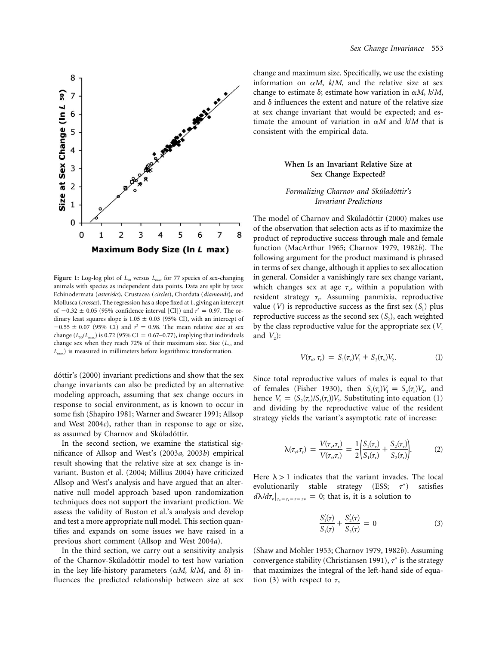

Figure 1: Log-log plot of  $L_{50}$  versus  $L_{\text{max}}$  for 77 species of sex-changing animals with species as independent data points. Data are split by taxa: Echinodermata (*asterisks*), Crustacea (*circles*), Chordata (*diamonds*), and Mollusca (*crosses*). The regression has a slope fixed at 1, giving an intercept of  $-0.32 \pm 0.05$  (95% confidence interval [CI]) and  $r^2 = 0.97$ . The ordinary least squares slope is  $1.05 \pm 0.03$  (95% CI), with an intercept of  $-0.55 \pm 0.07$  (95% CI) and  $r^2 = 0.98$ . The mean relative size at sex change  $(L_{50}/L_{\text{max}})$  is 0.72 (95% CI = 0.67–0.77), implying that individuals change sex when they reach 72% of their maximum size. Size ( $L_{50}$  and *L*max) is measured in millimeters before logarithmic transformation.

dóttir's (2000) invariant predictions and show that the sex change invariants can also be predicted by an alternative modeling approach, assuming that sex change occurs in response to social environment, as is known to occur in some fish (Shapiro 1981; Warner and Swearer 1991; Allsop and West 2004*c*), rather than in response to age or size, as assumed by Charnov and Skúladóttir.

In the second section, we examine the statistical significance of Allsop and West's (2003*a*, 2003*b*) empirical result showing that the relative size at sex change is invariant. Buston et al. (2004; Millius 2004) have criticized Allsop and West's analysis and have argued that an alternative null model approach based upon randomization techniques does not support the invariant prediction. We assess the validity of Buston et al.'s analysis and develop and test a more appropriate null model. This section quantifies and expands on some issues we have raised in a previous short comment (Allsop and West 2004*a*).

In the third section, we carry out a sensitivity analysis of the Charnov-Skúladóttir model to test how variation in the key life-history parameters  $(\alpha M, k/M, \text{ and } \delta)$  influences the predicted relationship between size at sex

change and maximum size. Specifically, we use the existing information on  $\alpha M$ ,  $k/M$ , and the relative size at sex change to estimate  $\delta$ ; estimate how variation in  $\alpha M$ ,  $k/M$ , and  $\delta$  influences the extent and nature of the relative size at sex change invariant that would be expected; and estimate the amount of variation in  $\alpha M$  and  $k/M$  that is consistent with the empirical data.

# **When Is an Invariant Relative Size at Sex Change Expected?**

# *Formalizing Charnov and Sku´lado´ttir's Invariant Predictions*

The model of Charnov and Skúladóttir (2000) makes use of the observation that selection acts as if to maximize the product of reproductive success through male and female function (MacArthur 1965; Charnov 1979, 1982*b*). The following argument for the product maximand is phrased in terms of sex change, although it applies to sex allocation in general. Consider a vanishingly rare sex change variant, which changes sex at age  $\tau_{v}$ , within a population with resident strategy  $\tau_r$ . Assuming panmixia, reproductive value  $(V)$  is reproductive success as the first sex  $(S_1)$  plus reproductive success as the second sex  $(S_2)$ , each weighted by the class reproductive value for the appropriate sex  $(V_1)$ and  $V_2$ :

$$
V(\tau_{v}, \tau_{r}) = S_{1}(\tau_{v})V_{1} + S_{2}(\tau_{v})V_{2}. \tag{1}
$$

Since total reproductive values of males is equal to that of females (Fisher 1930), then  $S_1(\tau) V_1 = S_2(\tau) V_2$ , and hence  $V_1 = (S_2(\tau_r)/S_1(\tau_r))V_2$ . Substituting into equation (1) and dividing by the reproductive value of the resident strategy yields the variant's asymptotic rate of increase:

$$
\lambda(\tau_{v}, \tau_{r}) = \frac{V(\tau_{v}, \tau_{r})}{V(\tau_{r}, \tau_{r})} = \frac{1}{2} \left( \frac{S_{1}(\tau_{v})}{S_{1}(\tau_{r})} + \frac{S_{2}(\tau_{v})}{S_{2}(\tau_{r})} \right).
$$
(2)

Here  $\lambda > 1$  indicates that the variant invades. The local evolutionarily stable strategy (ESS;  $\tau^*$ ) ) satisfies  $d\lambda/d\tau_{v}|_{\tau_{v}=\tau_{r}=\tau=\tau^{*}} = 0$ ; that is, it is a solution to

$$
\frac{S_1'(\tau)}{S_1(\tau)} + \frac{S_2'(\tau)}{S_2(\tau)} = 0
$$
\n(3)

(Shaw and Mohler 1953; Charnov 1979, 1982*b*). Assuming convergence stability (Christiansen 1991),  $\tau^*$  is the strategy that maximizes the integral of the left-hand side of equation (3) with respect to  $\tau$ ,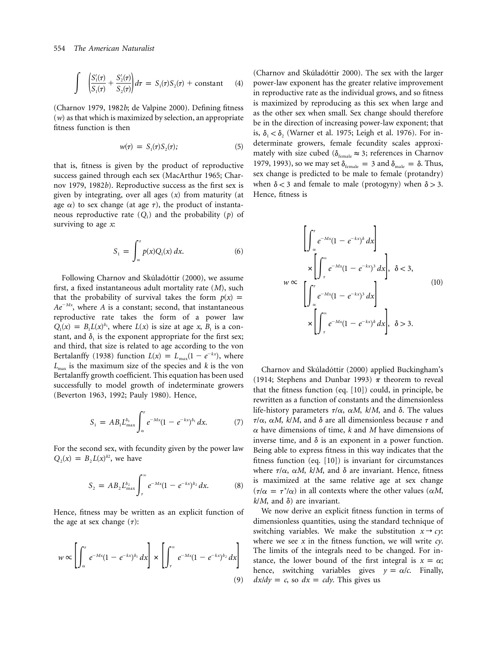$$
\int \left( \frac{S_1'(\tau)}{S_1(\tau)} + \frac{S_2'(\tau)}{S_2(\tau)} \right) d\tau = S_1(\tau) S_2(\tau) + \text{constant} \qquad (4)
$$

(Charnov 1979, 1982*b*; de Valpine 2000). Defining fitness (*w*) as that which is maximized by selection, an appropriate fitness function is then

$$
w(\tau) = S_1(\tau)S_2(\tau); \tag{5}
$$

that is, fitness is given by the product of reproductive success gained through each sex (MacArthur 1965; Charnov 1979, 1982*b*). Reproductive success as the first sex is given by integrating, over all ages (*x*) from maturity (at age  $\alpha$ ) to sex change (at age  $\tau$ ), the product of instantaneous reproductive rate  $(Q_1)$  and the probability  $(p)$  of surviving to age *x*:

$$
S_1 = \int_{\alpha}^{\tau} p(x) Q_1(x) dx.
$$
 (6)

Following Charnov and Skúladóttir (2000), we assume first, a fixed instantaneous adult mortality rate (*M*), such that the probability of survival takes the form  $p(x) =$  $Ae^{-Mx}$ , where A is a constant; second, that instantaneous reproductive rate takes the form of a power law  $Q_1(x) = B_1 L(x)^{\delta_1}$ , where  $L(x)$  is size at age x,  $B_1$  is a constant, and  $\delta_1$  is the exponent appropriate for the first sex; and third, that size is related to age according to the von Bertalanffy (1938) function  $L(x) = L_{\text{max}}(1 - e^{-kx})$ , where  $L_{\text{max}}$  is the maximum size of the species and *k* is the von Bertalanffy growth coefficient. This equation has been used successfully to model growth of indeterminate growers (Beverton 1963, 1992; Pauly 1980). Hence,

$$
S_1 = AB_1 L_{\max}^{\delta_1} \int_{\alpha}^{\tau} e^{-Mx} (1 - e^{-kx})^{\delta_1} dx.
$$
 (7)

For the second sex, with fecundity given by the power law  $Q_2(x) = B_2 L(x)^{\delta_2}$ , we have

$$
S_2 = AB_2 L_{\text{max}}^{\delta_2} \int_{\tau}^{\infty} e^{-Mx} (1 - e^{-kx})^{\delta_2} dx.
$$
 (8)

Hence, fitness may be written as an explicit function of the age at sex change  $(\tau)$ :

$$
w \propto \left[ \int_{\alpha}^{\tau} e^{-Mx} (1 - e^{-kx})^{\delta_1} dx \right] \times \left[ \int_{\tau}^{\infty} e^{-Mx} (1 - e^{-kx})^{\delta_2} dx \right]
$$
\n(9)

(Charnov and Skúladóttir 2000). The sex with the larger power-law exponent has the greater relative improvement in reproductive rate as the individual grows, and so fitness is maximized by reproducing as this sex when large and as the other sex when small. Sex change should therefore be in the direction of increasing power-law exponent; that is,  $\delta_1 < \delta_2$  (Warner et al. 1975; Leigh et al. 1976). For indeterminate growers, female fecundity scales approximately with size cubed ( $\delta_{\text{female}} \approx 3$ ; references in Charnov 1979, 1993), so we may set  $\delta_{\text{female}} = 3$  and  $\delta_{\text{male}} = \delta$ . Thus, sex change is predicted to be male to female (protandry) when  $\delta$  < 3 and female to male (protogyny) when  $\delta$  > 3. Hence, fitness is

$$
w \propto \begin{cases} \left[ \int_{\alpha}^{\tau} e^{-Mx} (1 - e^{-kx})^{\delta} dx \right] \\ \times \left[ \int_{\tau}^{\infty} e^{-Mx} (1 - e^{-kx})^3 dx \right], \quad \delta < 3, \\ \left[ \int_{\alpha}^{\tau} e^{-Mx} (1 - e^{-kx})^3 dx \right] \\ \times \left[ \int_{\tau}^{\infty} e^{-Mx} (1 - e^{-kx})^{\delta} dx \right], \quad \delta > 3. \end{cases}
$$
(10)

Charnov and Skúladóttir (2000) applied Buckingham's (1914; Stephens and Dunbar 1993)  $\pi$  theorem to reveal that the fitness function (eq. [10]) could, in principle, be rewritten as a function of constants and the dimensionless life-history parameters  $\tau/\alpha$ ,  $\alpha M$ ,  $k/M$ , and  $\delta$ . The values  $\tau/\alpha$ ,  $\alpha M$ ,  $k/M$ , and  $\delta$  are all dimensionless because  $\tau$  and  $\alpha$  have dimensions of time,  $k$  and  $M$  have dimensions of inverse time, and  $\delta$  is an exponent in a power function. Being able to express fitness in this way indicates that the fitness function (eq. [10]) is invariant for circumstances where  $\tau/\alpha$ ,  $\alpha M$ ,  $k/M$ , and  $\delta$  are invariant. Hence, fitness is maximized at the same relative age at sex change  $(\tau/\alpha = \tau^*/\alpha)$  in all contexts where the other values ( $\alpha M$ ,  $k/M$ , and  $\delta$ ) are invariant.

We now derive an explicit fitness function in terms of dimensionless quantities, using the standard technique of switching variables. We make the substitution  $x \rightarrow c y$ : where we see *x* in the fitness function, we will write *cy*. The limits of the integrals need to be changed. For instance, the lower bound of the first integral is  $x = \alpha$ ; hence, switching variables gives  $y = \alpha/c$ . Finally,  $dx/dy = c$ , so  $dx = cdy$ . This gives us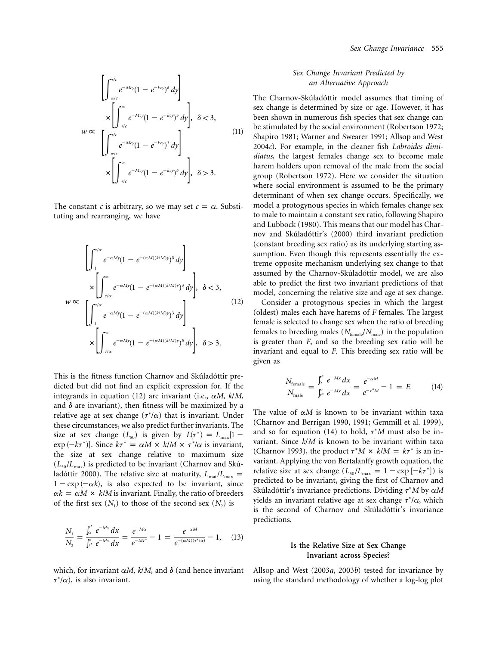$$
w \propto \begin{bmatrix} \left[ \int_{\alpha/c}^{\tau/c} e^{-Mcy} (1 - e^{-kcy})^{\delta} dy \right] \\ \times \left[ \int_{\tau/c}^{\infty} e^{-Mcy} (1 - e^{-kcy})^3 dy \right], \quad \delta < 3, \\ \left[ \int_{\alpha/c}^{\tau/c} e^{-Mcy} (1 - e^{-kcy})^3 dy \right] \\ \times \left[ \int_{\tau/c}^{\infty} e^{-Mcy} (1 - e^{-kcy})^{\delta} dy \right], \quad \delta > 3. \end{bmatrix}
$$
 (11)

The constant *c* is arbitrary, so we may set  $c = \alpha$ . Substituting and rearranging, we have

$$
w \propto \begin{cases} \left[ \int_{1}^{\tau/\alpha} e^{-\alpha My} (1 - e^{-(\alpha M)(k/M)y})^{\delta} dy \right] \\ \times \left[ \int_{\tau/\alpha}^{\infty} e^{-\alpha My} (1 - e^{-(\alpha M)(k/M)y})^3 dy \right], \quad \delta < 3, \\ \left[ \int_{1}^{\tau/\alpha} e^{-\alpha My} (1 - e^{-(\alpha M)(k/M)y})^3 dy \right] \\ \times \left[ \int_{\tau/\alpha}^{\infty} e^{-\alpha My} (1 - e^{-(\alpha M)(k/M)y})^{\delta} dy \right], \quad \delta > 3. \end{cases}
$$
(12)

This is the fitness function Charnov and Skúladóttir predicted but did not find an explicit expression for. If the integrands in equation (12) are invariant (i.e.,  $\alpha M$ ,  $k/M$ , and  $\delta$  are invariant), then fitness will be maximized by a relative age at sex change  $(\tau^*/\alpha)$  that is invariant. Under these circumstances, we also predict further invariants. The size at sex change  $(L_{50})$  is given by  $L(\tau^*) = L_{\text{max}}[1 - \tau]$  $\exp(-k\tau^*)$ . Since  $k\tau^* = \alpha M \times k/M \times \tau^*/\alpha$  is invariant, the size at sex change relative to maximum size  $(L_{50}/L_{\text{max}})$  is predicted to be invariant (Charnov and Skúladóttir 2000). The relative size at maturity,  $L_{\text{mat}}/L_{\text{max}} =$  $1 - \exp(-\alpha k)$ , is also expected to be invariant, since  $\alpha k = \alpha M \times k/M$  is invariant. Finally, the ratio of breeders of the first sex  $(N_1)$  to those of the second sex  $(N_2)$  is

$$
\frac{N_1}{N_2} = \frac{\int_{\alpha}^{\tau^*} e^{-Mx} dx}{\int_{\tau^*}^{\infty} e^{-Mx} dx} = \frac{e^{-M\alpha}}{e^{-M\tau^*}} - 1 = \frac{e^{-\alpha M}}{e^{-(\alpha M)(\tau^*/\alpha)}} - 1, \quad (13)
$$

which, for invariant  $\alpha M$ ,  $k/M$ , and  $\delta$  (and hence invariant  $\tau^*/\alpha$ ), is also invariant.

# *Sex Change Invariant Predicted by an Alternative Approach*

The Charnov-Skúladóttir model assumes that timing of sex change is determined by size or age. However, it has been shown in numerous fish species that sex change can be stimulated by the social environment (Robertson 1972; Shapiro 1981; Warner and Swearer 1991; Allsop and West 2004*c*). For example, in the cleaner fish *Labroides dimidiatus*, the largest females change sex to become male harem holders upon removal of the male from the social group (Robertson 1972). Here we consider the situation where social environment is assumed to be the primary determinant of when sex change occurs. Specifically, we model a protogynous species in which females change sex to male to maintain a constant sex ratio, following Shapiro and Lubbock (1980). This means that our model has Charnov and Skúladóttir's (2000) third invariant prediction (constant breeding sex ratio) as its underlying starting assumption. Even though this represents essentially the extreme opposite mechanism underlying sex change to that assumed by the Charnov-Skúladóttir model, we are also able to predict the first two invariant predictions of that model, concerning the relative size and age at sex change.

Consider a protogynous species in which the largest (oldest) males each have harems of *F* females. The largest female is selected to change sex when the ratio of breeding females to breeding males ( $N_{\text{female}}/N_{\text{male}}$ ) in the population is greater than *F*, and so the breeding sex ratio will be invariant and equal to *F*. This breeding sex ratio will be given as

$$
\frac{N_{\text{female}}}{N_{\text{male}}} = \frac{\int_{\alpha}^{\tau^*} e^{-Mx} dx}{\int_{\tau^*}^{\infty} e^{-Mx} dx} = \frac{e^{-\alpha M}}{e^{-\tau^* M}} - 1 = F.
$$
 (14)

The value of  $\alpha M$  is known to be invariant within taxa (Charnov and Berrigan 1990, 1991; Gemmill et al. 1999), and so for equation  $(14)$  to hold,  $\tau^*M$  must also be invariant. Since *k*/*M* is known to be invariant within taxa (Charnov 1993), the product  $\tau^* M \times k / M = k \tau^*$  is an invariant. Applying the von Bertalanffy growth equation, the relative size at sex change  $(L_{50}/L_{\text{max}} = 1 - \exp[-k\tau^*])$  is predicted to be invariant, giving the first of Charnov and Skúladóttir's invariance predictions. Dividing 1\*M by α*M* yields an invariant relative age at sex change  $\tau^*\!\!/\alpha,$  which is the second of Charnov and Skúladóttir's invariance predictions.

# **Is the Relative Size at Sex Change Invariant across Species?**

Allsop and West (2003*a*, 2003*b*) tested for invariance by using the standard methodology of whether a log-log plot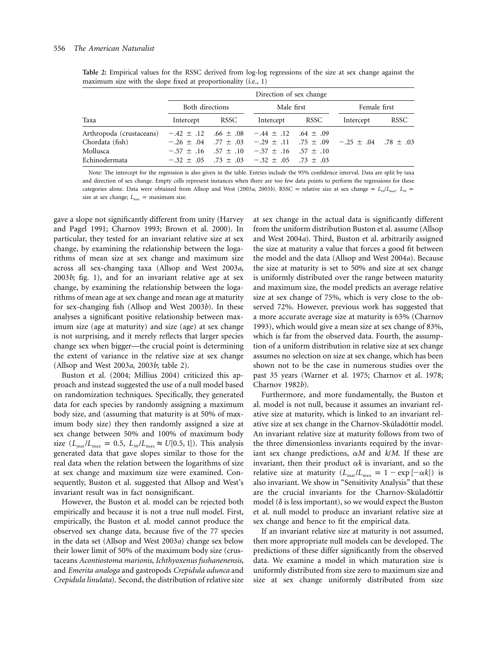|                                                                          | Direction of sex change |                               |                                                                                                                                                                                                      |              |                                                                                                 |      |
|--------------------------------------------------------------------------|-------------------------|-------------------------------|------------------------------------------------------------------------------------------------------------------------------------------------------------------------------------------------------|--------------|-------------------------------------------------------------------------------------------------|------|
|                                                                          |                         | Both directions<br>Male first |                                                                                                                                                                                                      | Female first |                                                                                                 |      |
| Taxa                                                                     | Intercept               | RSSC                          | Intercept                                                                                                                                                                                            | RSSC         | Intercept                                                                                       | RSSC |
| Arthropoda (crustaceans)<br>Chordata (fish)<br>Mollusca<br>Echinodermata |                         |                               | $-0.42 \pm 0.12$ $0.66 \pm 0.08$ $-0.44 \pm 0.12$ $0.64 \pm 0.09$<br>$-0.57 \pm 0.16$ $0.57 \pm 0.10$ $0.57 \pm 0.16$ $0.57 \pm 0.10$<br>$-32 \pm 0.05$ $-73 \pm 0.03$ $-32 \pm 0.05$ $-73 \pm 0.03$ |              | $-0.26 \pm 0.04$ .77 $\pm 0.03$ $-0.29 \pm 0.11$ .75 $\pm 0.09$ $-0.25 \pm 0.04$ .78 $\pm 0.03$ |      |

**Table 2:** Empirical values for the RSSC derived from log-log regressions of the size at sex change against the maximum size with the slope fixed at proportionality (i.e., 1)

Note: The intercept for the regression is also given in the table. Entries include the 95% confidence interval. Data are split by taxa and direction of sex change. Empty cells represent instances when there are too few data points to perform the regressions for these categories alone. Data were obtained from Allsop and West (2003*a*, 2003*b*). RSSC = relative size at sex change =  $L_{50}/L_{\text{max}}$ .  $L_{50}$  = size at sex change;  $L_{\text{max}} =$  maximum size.

gave a slope not significantly different from unity (Harvey and Pagel 1991; Charnov 1993; Brown et al. 2000). In particular, they tested for an invariant relative size at sex change, by examining the relationship between the logarithms of mean size at sex change and maximum size across all sex-changing taxa (Allsop and West 2003*a*, 2003*b*; fig. 1), and for an invariant relative age at sex change, by examining the relationship between the logarithms of mean age at sex change and mean age at maturity for sex-changing fish (Allsop and West 2003*b*). In these analyses a significant positive relationship between maximum size (age at maturity) and size (age) at sex change is not surprising, and it merely reflects that larger species change sex when bigger—the crucial point is determining the extent of variance in the relative size at sex change (Allsop and West 2003*a*, 2003*b*; table 2).

Buston et al. (2004; Millius 2004) criticized this approach and instead suggested the use of a null model based on randomization techniques. Specifically, they generated data for each species by randomly assigning a maximum body size, and (assuming that maturity is at 50% of maximum body size) they then randomly assigned a size at sex change between 50% and 100% of maximum body size  $(L_{\text{mat}}/L_{\text{max}} = 0.5, L_{50}/L_{\text{max}} \approx U[0.5, 1]).$  This analysis generated data that gave slopes similar to those for the real data when the relation between the logarithms of size at sex change and maximum size were examined. Consequently, Buston et al. suggested that Allsop and West's invariant result was in fact nonsignificant.

However, the Buston et al. model can be rejected both empirically and because it is not a true null model. First, empirically, the Buston et al. model cannot produce the observed sex change data, because five of the 77 species in the data set (Allsop and West 2003*a*) change sex below their lower limit of 50% of the maximum body size (crustaceans *Acontiostoma marionis*, *Ichthyoxenus fushanenensis*, and *Emerita analoga* and gastropods *Crepidula adunca* and *Crepidula linulata*). Second, the distribution of relative size

at sex change in the actual data is significantly different from the uniform distribution Buston et al. assume (Allsop and West 2004*a*). Third, Buston et al. arbitrarily assigned the size at maturity a value that forces a good fit between the model and the data (Allsop and West 2004*a*). Because the size at maturity is set to 50% and size at sex change is uniformly distributed over the range between maturity and maximum size, the model predicts an average relative size at sex change of 75%, which is very close to the observed 72%. However, previous work has suggested that a more accurate average size at maturity is 65% (Charnov 1993), which would give a mean size at sex change of 83%, which is far from the observed data. Fourth, the assumption of a uniform distribution in relative size at sex change assumes no selection on size at sex change, which has been shown not to be the case in numerous studies over the past 35 years (Warner et al. 1975; Charnov et al. 1978; Charnov 1982*b*).

Furthermore, and more fundamentally, the Buston et al. model is not null, because it assumes an invariant relative size at maturity, which is linked to an invariant relative size at sex change in the Charnov-Skúladóttir model. An invariant relative size at maturity follows from two of the three dimensionless invariants required by the invariant sex change predictions,  $\alpha M$  and  $k/M$ . If these are invariant, then their product  $\alpha k$  is invariant, and so the relative size at maturity  $(L_{\text{mat}}/L_{\text{max}} = 1 - \exp[-\alpha k])$  is also invariant. We show in "Sensitivity Analysis" that these are the crucial invariants for the Charnov-Skúladóttir model ( $\delta$  is less important), so we would expect the Buston et al. null model to produce an invariant relative size at sex change and hence to fit the empirical data.

If an invariant relative size at maturity is not assumed, then more appropriate null models can be developed. The predictions of these differ significantly from the observed data. We examine a model in which maturation size is uniformly distributed from size zero to maximum size and size at sex change uniformly distributed from size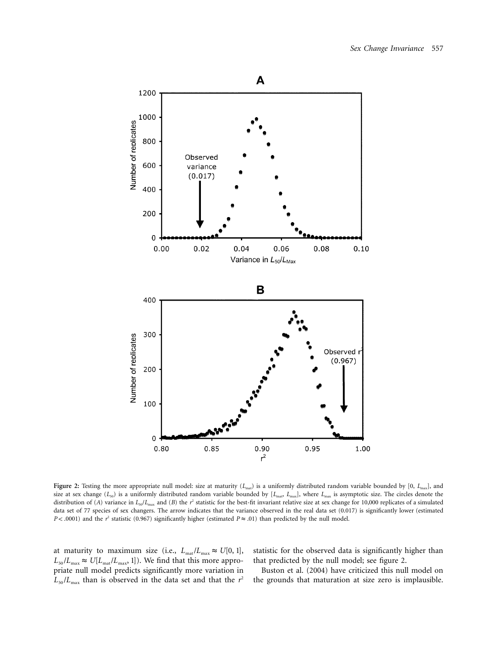

**Figure 2:** Testing the more appropriate null model: size at maturity (*L<sub>mat</sub>*) is a uniformly distributed random variable bounded by [0, *L<sub>max</sub>*], and size at sex change (*L<sub>50</sub>*) is a uniformly distributed random variable bounded by [*L<sub>mat</sub>*, *L<sub>max</sub>*], where *L<sub>max</sub>* is asymptotic size. The circles denote the distribution of (*A*) variance in  $L_{50}/L_{\text{max}}$  and (*B*) the *r*<sup>2</sup> statistic for the best-fit invariant relative size at sex change for 10,000 replicates of a simulated data set of 77 species of sex changers. The arrow indicates that the variance observed in the real data set (0.017) is significantly lower (estimated  $P$ < .0001) and the  $r^2$  statistic (0.967) significantly higher (estimated  $P \approx .01$ ) than predicted by the null model.

at maturity to maximum size (i.e.,  $L_{\text{mat}}/L_{\text{max}} \approx U[0, 1],$  $L_{50}/L_{\text{max}} \approx U[L_{\text{mat}}/L_{\text{max}}, 1]$ ). We find that this more appropriate null model predicts significantly more variation in  $L_{50}/L_{\text{max}}$  than is observed in the data set and that the  $r^2$  statistic for the observed data is significantly higher than that predicted by the null model; see figure 2.

Buston et al. (2004) have criticized this null model on the grounds that maturation at size zero is implausible.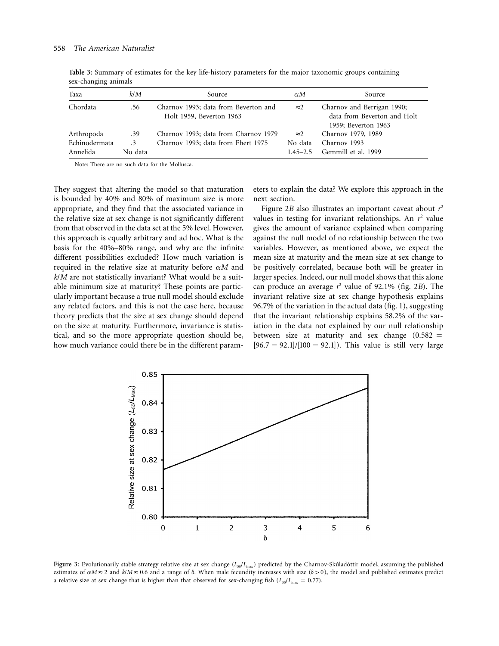| Taxa          | k/M       | Source                                                           | $\alpha$ M   | Source                                                                           |
|---------------|-----------|------------------------------------------------------------------|--------------|----------------------------------------------------------------------------------|
| Chordata      | .56       | Charnov 1993; data from Beverton and<br>Holt 1959, Beverton 1963 | $\approx$ 2  | Charnov and Berrigan 1990;<br>data from Beverton and Holt<br>1959; Beverton 1963 |
| Arthropoda    | .39       | Charnov 1993; data from Charnov 1979                             | $\approx$ 2  | Charnov 1979, 1989                                                               |
| Echinodermata | $\cdot$ 3 | Charnov 1993; data from Ebert 1975                               | No data      | Charnov 1993                                                                     |
| Annelida      | No data   |                                                                  | $1.45 - 2.5$ | Gemmill et al. 1999                                                              |

**Table 3:** Summary of estimates for the key life-history parameters for the major taxonomic groups containing sex-changing animals

Note: There are no such data for the Mollusca.

They suggest that altering the model so that maturation is bounded by 40% and 80% of maximum size is more appropriate, and they find that the associated variance in the relative size at sex change is not significantly different from that observed in the data set at the 5% level. However, this approach is equally arbitrary and ad hoc. What is the basis for the 40%–80% range, and why are the infinite different possibilities excluded? How much variation is required in the relative size at maturity before  $\alpha M$  and *k*/*M* are not statistically invariant? What would be a suitable minimum size at maturity? These points are particularly important because a true null model should exclude any related factors, and this is not the case here, because theory predicts that the size at sex change should depend on the size at maturity. Furthermore, invariance is statistical, and so the more appropriate question should be, how much variance could there be in the different parameters to explain the data? We explore this approach in the next section.

Figure 2*B* also illustrates an important caveat about *r*<sup>2</sup> values in testing for invariant relationships. An  $r^2$  value gives the amount of variance explained when comparing against the null model of no relationship between the two variables. However, as mentioned above, we expect the mean size at maturity and the mean size at sex change to be positively correlated, because both will be greater in larger species. Indeed, our null model shows that this alone can produce an average  $r^2$  value of 92.1% (fig. 2*B*). The invariant relative size at sex change hypothesis explains 96.7% of the variation in the actual data (fig. 1), suggesting that the invariant relationship explains 58.2% of the variation in the data not explained by our null relationship between size at maturity and sex change  $(0.582 =$  $[96.7 - 92.1]/[100 - 92.1]$ . This value is still very large



Figure 3: Evolutionarily stable strategy relative size at sex change ( $L_{50}/L_{\text{max}}$ ) predicted by the Charnov-Skúladóttir model, assuming the published estimates of  $\alpha M \approx 2$  and  $k/M \approx 0.6$  and a range of  $\delta$ . When male fecundity increases with size ( $\delta > 0$ ), the model and published estimates predict a relative size at sex change that is higher than that observed for sex-changing fish  $(L_{50}/L_{\text{max}} = 0.77)$ .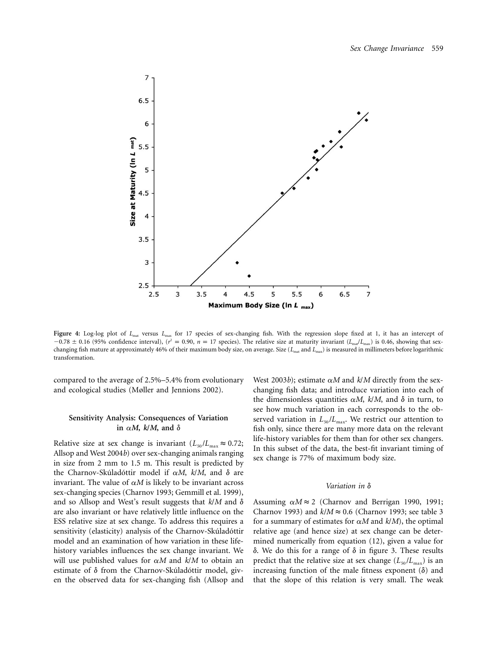

Figure 4: Log-log plot of *L*<sub>mat</sub> versus *L*<sub>max</sub> for 17 species of sex-changing fish. With the regression slope fixed at 1, it has an intercept of  $-0.78 \pm 0.16$  (95% confidence interval),  $(r^2 = 0.90, n = 17$  species). The relative size at maturity invariant ( $L_{\text{mat}}/L_{\text{max}}$ ) is 0.46, showing that sexchanging fish mature at approximately 46% of their maximum body size, on average. Size ( $L_{\text{mat}}$  and  $L_{\text{max}}$ ) is measured in millimeters before logarithmic transformation.

compared to the average of 2.5%–5.4% from evolutionary and ecological studies (Møller and Jennions 2002).

# **Sensitivity Analysis: Consequences of Variation** in  $\alpha M$ ,  $k/M$ , and  $\delta$

Relative size at sex change is invariant  $(L_{50}/L_{\text{max}} \approx 0.72)$ ; Allsop and West 2004*b*) over sex-changing animals ranging in size from 2 mm to 1.5 m. This result is predicted by the Charnov-Skúladóttir model if  $\alpha M$ ,  $k/M$ , and  $\delta$  are invariant. The value of  $\alpha M$  is likely to be invariant across sex-changing species (Charnov 1993; Gemmill et al. 1999), and so Allsop and West's result suggests that  $k/M$  and  $\delta$ are also invariant or have relatively little influence on the ESS relative size at sex change. To address this requires a sensitivity (elasticity) analysis of the Charnov-Skúladóttir model and an examination of how variation in these lifehistory variables influences the sex change invariant. We will use published values for  $\alpha M$  and  $k/M$  to obtain an estimate of  $\delta$  from the Charnov-Skúladóttir model, given the observed data for sex-changing fish (Allsop and

West 2003*b*); estimate  $\alpha M$  and  $k/M$  directly from the sexchanging fish data; and introduce variation into each of the dimensionless quantities  $\alpha M$ ,  $k/M$ , and  $\delta$  in turn, to see how much variation in each corresponds to the observed variation in  $L_{50}/L_{\text{max}}$ . We restrict our attention to fish only, since there are many more data on the relevant life-history variables for them than for other sex changers. In this subset of the data, the best-fit invariant timing of sex change is 77% of maximum body size.

#### *Variation in* δ

Assuming  $\alpha M \approx 2$  (Charnov and Berrigan 1990, 1991; Charnov 1993) and  $k/M \approx 0.6$  (Charnov 1993; see table 3 for a summary of estimates for  $\alpha M$  and  $k/M$ , the optimal relative age (and hence size) at sex change can be determined numerically from equation (12), given a value for  $\delta$ . We do this for a range of  $\delta$  in figure 3. These results predict that the relative size at sex change  $(L_{50}/L_{\text{max}})$  is an increasing function of the male fitness exponent  $(\delta)$  and that the slope of this relation is very small. The weak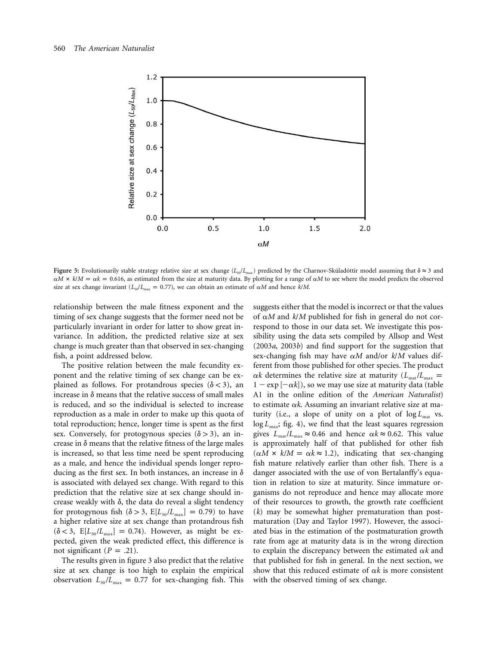

**Figure 5:** Evolutionarily stable strategy relative size at sex change ( $L_s/L_{\text{max}}$ ) predicted by the Charnov-Skúladóttir model assuming that  $\delta \approx 3$  and  $\alpha$ *M*  $\times$  *k*/*M* =  $\alpha$ *k* = 0.616, as estimated from the size at maturity data. By plotting for a range of  $\alpha$ *M* to see where the model predicts the observed size at sex change invariant ( $L_{50}/L_{\text{max}} = 0.77$ ), we can obtain an estimate of  $\alpha M$  and hence  $k/M$ .

relationship between the male fitness exponent and the timing of sex change suggests that the former need not be particularly invariant in order for latter to show great invariance. In addition, the predicted relative size at sex change is much greater than that observed in sex-changing fish, a point addressed below.

The positive relation between the male fecundity exponent and the relative timing of sex change can be explained as follows. For protandrous species ( $\delta$  < 3), an increase in  $\delta$  means that the relative success of small males is reduced, and so the individual is selected to increase reproduction as a male in order to make up this quota of total reproduction; hence, longer time is spent as the first sex. Conversely, for protogynous species  $(\delta > 3)$ , an increase in  $\delta$  means that the relative fitness of the large males is increased, so that less time need be spent reproducing as a male, and hence the individual spends longer reproducing as the first sex. In both instances, an increase in  $\delta$ is associated with delayed sex change. With regard to this prediction that the relative size at sex change should increase weakly with  $\delta$ , the data do reveal a slight tendency for protogynous fish  $(\delta > 3, E[L_{50}/L_{\text{max}}] = 0.79)$  to have a higher relative size at sex change than protandrous fish  $(\delta < 3, E[L_{50}/L_{\text{max}}] = 0.74)$ . However, as might be expected, given the weak predicted effect, this difference is not significant  $(P = .21)$ .

The results given in figure 3 also predict that the relative size at sex change is too high to explain the empirical observation  $L_{50}/L_{\text{max}} = 0.77$  for sex-changing fish. This

suggests either that the model is incorrect or that the values of  $\alpha M$  and  $k/M$  published for fish in general do not correspond to those in our data set. We investigate this possibility using the data sets compiled by Allsop and West (2003*a*, 2003*b*) and find support for the suggestion that sex-changing fish may have  $\alpha M$  and/or  $k/M$  values different from those published for other species. The product  $\alpha k$  determines the relative size at maturity ( $L_{\text{mat}}/L_{\text{max}} =$  $1 - \exp[-\alpha k]$ ), so we may use size at maturity data (table A1 in the online edition of the *American Naturalist*) to estimate  $\alpha k$ . Assuming an invariant relative size at maturity (i.e., a slope of unity on a plot of  $\log L_{\text{mat}}$  vs.  $\log L_{\text{max}}$ ; fig. 4), we find that the least squares regression gives  $L_{\text{mat}}/L_{\text{max}} \approx 0.46$  and hence  $\alpha k \approx 0.62$ . This value is approximately half of that published for other fish  $(\alpha M \times k/M = \alpha k \approx 1.2)$ , indicating that sex-changing fish mature relatively earlier than other fish. There is a danger associated with the use of von Bertalanffy's equation in relation to size at maturity. Since immature organisms do not reproduce and hence may allocate more of their resources to growth, the growth rate coefficient (*k*) may be somewhat higher prematuration than postmaturation (Day and Taylor 1997). However, the associated bias in the estimation of the postmaturation growth rate from age at maturity data is in the wrong direction to explain the discrepancy between the estimated  $\alpha k$  and that published for fish in general. In the next section, we show that this reduced estimate of  $\alpha k$  is more consistent with the observed timing of sex change.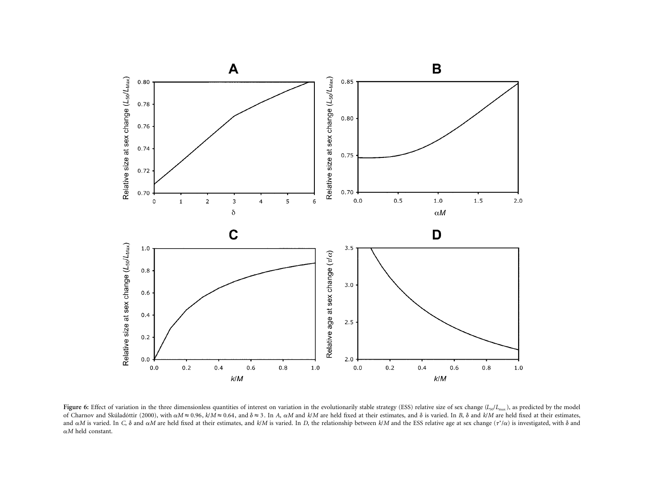

Figure 6: Effect of variation in the three dimensionless quantities of interest on variation in the evolutionarily stable strategy (ESS) relative size of sex change ( $L_{50}/L_{\rm max}$ ), as predicted by the model of Charnov and Skúladóttir (2000), with  $\alpha M \approx 0.96$ ,  $k/M \approx 0.64$ , and  $\delta \approx 3$ . In A,  $\alpha M$  and  $k/M$  are held fixed at their estimates, and  $\delta$  is varied. In B,  $\delta$  and  $k/M$  are held fixed at their estimates, and  $\alpha$ M is varied. In C,  $\delta$  and  $\alpha$ M are held fixed at their estimates, and k/M is varied. In D, the relationship between k/M and the ESS relative age at sex change ( $\tau^* / \alpha$ ) is investigated, with  $\delta$  and a*M* held constant.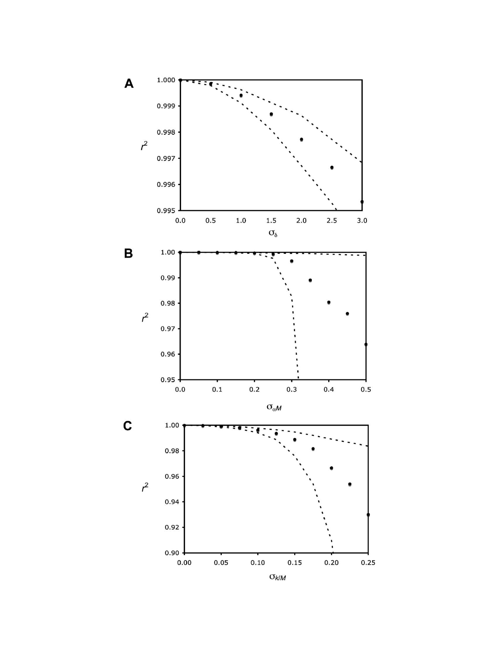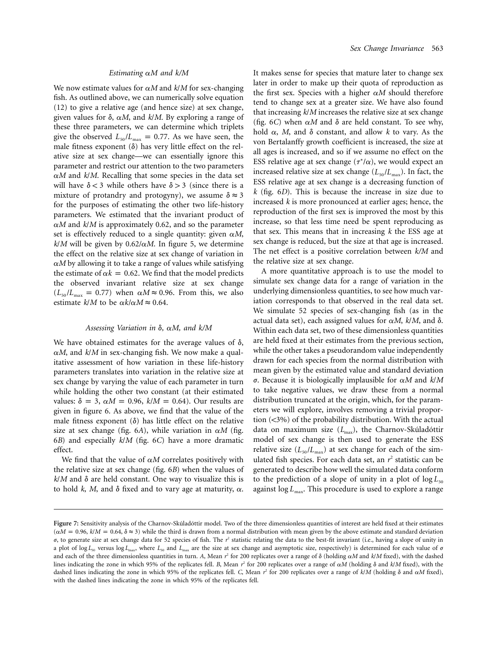#### *Estimating* a*M and k/M*

We now estimate values for  $\alpha M$  and  $k/M$  for sex-changing fish. As outlined above, we can numerically solve equation (12) to give a relative age (and hence size) at sex change, given values for  $\delta$ ,  $\alpha M$ , and  $k/M$ . By exploring a range of these three parameters, we can determine which triplets give the observed  $L_{50}/L_{\text{max}} = 0.77$ . As we have seen, the male fitness exponent  $(\delta)$  has very little effect on the relative size at sex change—we can essentially ignore this parameter and restrict our attention to the two parameters  $\alpha$ *M* and *k*/*M*. Recalling that some species in the data set will have  $\delta$  < 3 while others have  $\delta$  > 3 (since there is a mixture of protandry and protogyny), we assume  $\delta \approx 3$ for the purposes of estimating the other two life-history parameters. We estimated that the invariant product of a*M* and *k*/*M* is approximately 0.62, and so the parameter set is effectively reduced to a single quantity: given  $\alpha M$ ,  $k/M$  will be given by 0.62/ $\alpha$ *M*. In figure 5, we determine the effect on the relative size at sex change of variation in  $\alpha$ *M* by allowing it to take a range of values while satisfying the estimate of  $\alpha k = 0.62$ . We find that the model predicts the observed invariant relative size at sex change  $(L_{50}/L_{\text{max}} = 0.77)$  when  $\alpha M \approx 0.96$ . From this, we also estimate  $k/M$  to be  $\alpha k/\alpha M \approx 0.64$ .

### *Assessing Variation in* δ, α*M*, and k/*M*

We have obtained estimates for the average values of  $\delta$ ,  $\alpha$ *M*, and  $k/M$  in sex-changing fish. We now make a qualitative assessment of how variation in these life-history parameters translates into variation in the relative size at sex change by varying the value of each parameter in turn while holding the other two constant (at their estimated values:  $\delta = 3$ ,  $\alpha M = 0.96$ ,  $k/M = 0.64$ ). Our results are given in figure 6. As above, we find that the value of the male fitness exponent  $(\delta)$  has little effect on the relative size at sex change (fig. 6*A*), while variation in  $\alpha M$  (fig. 6*B*) and especially *k*/*M* (fig. 6*C*) have a more dramatic effect.

We find that the value of  $\alpha M$  correlates positively with the relative size at sex change (fig. 6*B*) when the values of  $k/M$  and  $\delta$  are held constant. One way to visualize this is to hold  $k$ ,  $M$ , and  $\delta$  fixed and to vary age at maturity,  $\alpha$ .

It makes sense for species that mature later to change sex later in order to make up their quota of reproduction as the first sex. Species with a higher  $\alpha M$  should therefore tend to change sex at a greater size. We have also found that increasing *k*/*M* increases the relative size at sex change (fig. 6*C*) when  $\alpha M$  and  $\delta$  are held constant. To see why, hold  $\alpha$ , *M*, and  $\delta$  constant, and allow *k* to vary. As the von Bertalanffy growth coefficient is increased, the size at all ages is increased, and so if we assume no effect on the ESS relative age at sex change  $(\tau^*/\alpha)$ , we would expect an increased relative size at sex change  $(L_{50}/L_{\text{max}})$ . In fact, the ESS relative age at sex change is a decreasing function of *k* (fig. 6*D*). This is because the increase in size due to increased *k* is more pronounced at earlier ages; hence, the reproduction of the first sex is improved the most by this increase, so that less time need be spent reproducing as that sex. This means that in increasing *k* the ESS age at sex change is reduced, but the size at that age is increased. The net effect is a positive correlation between *k/M* and the relative size at sex change.

A more quantitative approach is to use the model to simulate sex change data for a range of variation in the underlying dimensionless quantities, to see how much variation corresponds to that observed in the real data set. We simulate 52 species of sex-changing fish (as in the actual data set), each assigned values for  $\alpha M$ ,  $k/M$ , and  $\delta$ . Within each data set, two of these dimensionless quantities are held fixed at their estimates from the previous section, while the other takes a pseudorandom value independently drawn for each species from the normal distribution with mean given by the estimated value and standard deviation  $\sigma$ . Because it is biologically implausible for  $\alpha M$  and  $k/M$ to take negative values, we draw these from a normal distribution truncated at the origin, which, for the parameters we will explore, involves removing a trivial proportion  $($ <3%) of the probability distribution. With the actual data on maximum size (*L<sub>max</sub>*), the Charnov-Skúladóttir model of sex change is then used to generate the ESS relative size  $(L_{50}/L_{\text{max}})$  at sex change for each of the simulated fish species. For each data set, an *r* <sup>2</sup> statistic can be generated to describe how well the simulated data conform to the prediction of a slope of unity in a plot of  $\log L_{50}$ against  $\log L_{\text{max}}$ . This procedure is used to explore a range

Figure 7: Sensitivity analysis of the Charnov-Skúladóttir model. Two of the three dimensionless quantities of interest are held fixed at their estimates  $(\alpha M = 0.96, k/M = 0.64, \delta \approx 3)$  while the third is drawn from a normal distribution with mean given by the above estimate and standard deviation σ, to generate size at sex change data for 52 species of fish. The *r*<sup>2</sup> statistic relating the data to the best-fit invariant (i.e., having a slope of unity in a plot of log  $L_{50}$  versus log  $L_{\text{max}}$ , where  $L_{50}$  and  $L_{\text{max}}$  are the size at sex change and asymptotic size, respectively) is determined for each value of  $\sigma$ and each of the three dimensionless quantities in turn. A, Mean  $r^2$  for 200 replicates over a range of  $\delta$  (holding  $\alpha M$  and  $k/M$  fixed), with the dashed lines indicating the zone in which 95% of the replicates fell. *B*, Mean  $r^2$  for 200 replicates over a range of  $\alpha M$  (holding  $\delta$  and  $k/M$  fixed), with the dashed lines indicating the zone in which 95% of the replicates fell. C, Mean  $r^2$  for 200 replicates over a range of  $k/M$  (holding  $\delta$  and  $\alpha M$  fixed), with the dashed lines indicating the zone in which 95% of the replicates fell.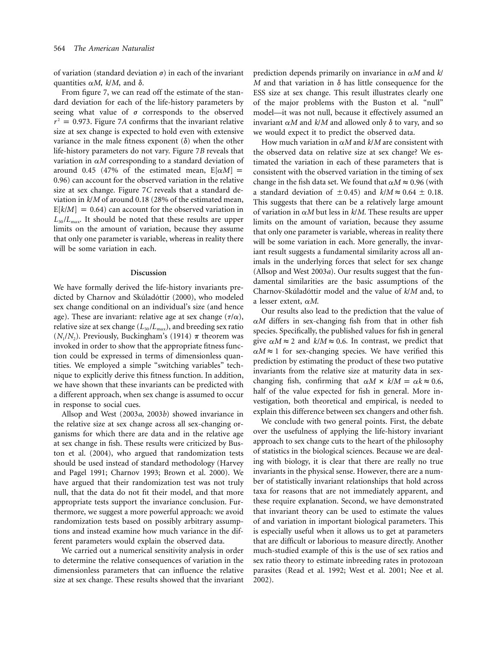of variation (standard deviation  $\sigma$ ) in each of the invariant quantities  $\alpha M$ ,  $k/M$ , and  $\delta$ .

From figure 7, we can read off the estimate of the standard deviation for each of the life-history parameters by seeing what value of  $\sigma$  corresponds to the observed  $r^2 = 0.973$ . Figure 7A confirms that the invariant relative size at sex change is expected to hold even with extensive variance in the male fitness exponent  $(\delta)$  when the other life-history parameters do not vary. Figure 7*B* reveals that variation in  $\alpha M$  corresponding to a standard deviation of around 0.45 (47% of the estimated mean,  $E[\alpha M]$  = 0.96) can account for the observed variation in the relative size at sex change. Figure 7*C* reveals that a standard deviation in *k*/*M* of around 0.18 (28% of the estimated mean,  $E[k/M] = 0.64$ ) can account for the observed variation in  $L_{50}/L_{\text{max}}$ . It should be noted that these results are upper limits on the amount of variation, because they assume that only one parameter is variable, whereas in reality there will be some variation in each.

#### **Discussion**

We have formally derived the life-history invariants predicted by Charnov and Skúladóttir (2000), who modeled sex change conditional on an individual's size (and hence age). These are invariant: relative age at sex change  $(\tau/\alpha)$ , relative size at sex change ( $L_{50}/L_{\text{max}}$ ), and breeding sex ratio  $(N_1/N_2)$ . Previously, Buckingham's (1914)  $\pi$  theorem was invoked in order to show that the appropriate fitness function could be expressed in terms of dimensionless quantities. We employed a simple "switching variables" technique to explicitly derive this fitness function. In addition, we have shown that these invariants can be predicted with a different approach, when sex change is assumed to occur in response to social cues.

Allsop and West (2003*a*, 2003*b*) showed invariance in the relative size at sex change across all sex-changing organisms for which there are data and in the relative age at sex change in fish. These results were criticized by Buston et al. (2004), who argued that randomization tests should be used instead of standard methodology (Harvey and Pagel 1991; Charnov 1993; Brown et al. 2000). We have argued that their randomization test was not truly null, that the data do not fit their model, and that more appropriate tests support the invariance conclusion. Furthermore, we suggest a more powerful approach: we avoid randomization tests based on possibly arbitrary assumptions and instead examine how much variance in the different parameters would explain the observed data.

We carried out a numerical sensitivity analysis in order to determine the relative consequences of variation in the dimensionless parameters that can influence the relative size at sex change. These results showed that the invariant prediction depends primarily on invariance in a*M* and *k*/ *M* and that variation in  $\delta$  has little consequence for the ESS size at sex change. This result illustrates clearly one of the major problems with the Buston et al. "null" model—it was not null, because it effectively assumed an invariant  $\alpha M$  and  $k/M$  and allowed only  $\delta$  to vary, and so we would expect it to predict the observed data.

How much variation in  $\alpha M$  and  $k/M$  are consistent with the observed data on relative size at sex change? We estimated the variation in each of these parameters that is consistent with the observed variation in the timing of sex change in the fish data set. We found that  $\alpha M \approx 0.96$  (with a standard deviation of  $\pm 0.45$ ) and  $k/M \approx 0.64 \pm 0.18$ . This suggests that there can be a relatively large amount of variation in  $\alpha M$  but less in  $k/M$ . These results are upper limits on the amount of variation, because they assume that only one parameter is variable, whereas in reality there will be some variation in each. More generally, the invariant result suggests a fundamental similarity across all animals in the underlying forces that select for sex change (Allsop and West 2003*a*). Our results suggest that the fundamental similarities are the basic assumptions of the Charnov-Skúladóttir model and the value of  $k/M$  and, to a lesser extent, a*M*.

Our results also lead to the prediction that the value of  $\alpha$ *M* differs in sex-changing fish from that in other fish species. Specifically, the published values for fish in general give  $\alpha M \approx 2$  and  $k/M \approx 0.6$ . In contrast, we predict that  $\alpha M \approx 1$  for sex-changing species. We have verified this prediction by estimating the product of these two putative invariants from the relative size at maturity data in sexchanging fish, confirming that  $\alpha M \times k/M = \alpha k \approx 0.6$ , half of the value expected for fish in general. More investigation, both theoretical and empirical, is needed to explain this difference between sex changers and other fish.

We conclude with two general points. First, the debate over the usefulness of applying the life-history invariant approach to sex change cuts to the heart of the philosophy of statistics in the biological sciences. Because we are dealing with biology, it is clear that there are really no true invariants in the physical sense. However, there are a number of statistically invariant relationships that hold across taxa for reasons that are not immediately apparent, and these require explanation. Second, we have demonstrated that invariant theory can be used to estimate the values of and variation in important biological parameters. This is especially useful when it allows us to get at parameters that are difficult or laborious to measure directly. Another much-studied example of this is the use of sex ratios and sex ratio theory to estimate inbreeding rates in protozoan parasites (Read et al. 1992; West et al. 2001; Nee et al. 2002).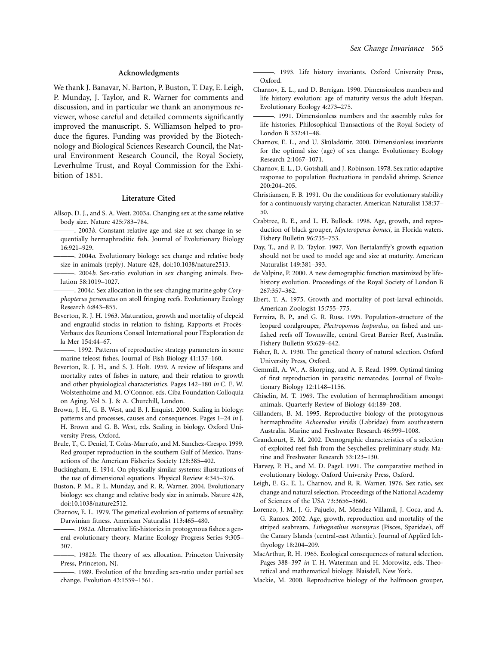#### **Acknowledgments**

We thank J. Banavar, N. Barton, P. Buston, T. Day, E. Leigh, P. Munday, J. Taylor, and R. Warner for comments and discussion, and in particular we thank an anonymous reviewer, whose careful and detailed comments significantly improved the manuscript. S. Williamson helped to produce the figures. Funding was provided by the Biotechnology and Biological Sciences Research Council, the Natural Environment Research Council, the Royal Society, Leverhulme Trust, and Royal Commission for the Exhibition of 1851.

### **Literature Cited**

- Allsop, D. J., and S. A. West. 2003*a*. Changing sex at the same relative body size. Nature 425:783–784.
- ———. 2003*b*. Constant relative age and size at sex change in sequentially hermaphroditic fish. Journal of Evolutionary Biology 16:921–929.
- ———. 2004*a*. Evolutionary biology: sex change and relative body size in animals (reply). Nature 428, doi:10.1038/nature2513.
- -. 2004*b*. Sex-ratio evolution in sex changing animals. Evolution 58:1019–1027.
- -. 2004c. Sex allocation in the sex-changing marine goby *Coryphopterus personatus* on atoll fringing reefs. Evolutionary Ecology Research 6:843–855.
- Beverton, R. J. H. 1963. Maturation, growth and mortality of clepeid and engraulid stocks in relation to fishing. Rapports et Procès-Verbaux des Reunions Conseil International pour l'Exploration de la Mer 154:44–67.
- ———. 1992. Patterns of reproductive strategy parameters in some marine teleost fishes. Journal of Fish Biology 41:137–160.
- Beverton, R. J. H., and S. J. Holt. 1959. A review of lifespans and mortality rates of fishes in nature, and their relation to growth and other physiological characteristics. Pages 142–180 *in* C. E. W. Wolstenholme and M. O'Connor, eds. Ciba Foundation Colloquia on Aging. Vol 5. J. & A. Churchill, London.
- Brown, J. H., G. B. West, and B. J. Enquist. 2000. Scaling in biology: patterns and processes, causes and consequences. Pages 1–24 *in* J. H. Brown and G. B. West, eds. Scaling in biology. Oxford University Press, Oxford.
- Brule, T., C. Deniel, T. Colas-Marrufo, and M. Sanchez-Crespo. 1999. Red grouper reproduction in the southern Gulf of Mexico. Transactions of the American Fisheries Society 128:385–402.
- Buckingham, E. 1914. On physically similar systems: illustrations of the use of dimensional equations. Physical Review 4:345–376.
- Buston, P. M., P. L. Munday, and R. R. Warner. 2004. Evolutionary biology: sex change and relative body size in animals. Nature 428, doi:10.1038/nature2512.
- Charnov, E. L. 1979. The genetical evolution of patterns of sexuality: Darwinian fitness. American Naturalist 113:465–480.
- -. 1982a. Alternative life-histories in protogynous fishes: a general evolutionary theory. Marine Ecology Progress Series 9:305– 307.
- . 1982*b*. The theory of sex allocation. Princeton University Press, Princeton, NJ.
- ———. 1989. Evolution of the breeding sex-ratio under partial sex change. Evolution 43:1559–1561.

———. 1993. Life history invariants. Oxford University Press, Oxford.

- Charnov, E. L., and D. Berrigan. 1990. Dimensionless numbers and life history evolution: age of maturity versus the adult lifespan. Evolutionary Ecology 4:273–275.
- ———. 1991. Dimensionless numbers and the assembly rules for life histories. Philosophical Transactions of the Royal Society of London B 332:41–48.
- Charnov, E. L., and U. Skúladóttir. 2000. Dimensionless invariants for the optimal size (age) of sex change. Evolutionary Ecology Research 2:1067–1071.
- Charnov, E. L., D. Gotshall, and J. Robinson. 1978. Sex ratio: adaptive response to population fluctuations in pandalid shrimp. Science 200:204–205.
- Christiansen, F. B. 1991. On the conditions for evolutionary stability for a continuously varying character. American Naturalist 138:37– 50.
- Crabtree, R. E., and L. H. Bullock. 1998. Age, growth, and reproduction of black grouper, *Mycteroperca bonaci*, in Florida waters. Fishery Bulletin 96:735–753.
- Day, T., and P. D. Taylor. 1997. Von Bertalanffy's growth equation should not be used to model age and size at maturity. American Naturalist 149:381–393.
- de Valpine, P. 2000. A new demographic function maximized by lifehistory evolution. Proceedings of the Royal Society of London B 267:357–362.
- Ebert, T. A. 1975. Growth and mortality of post-larval echinoids. American Zoologist 15:755–775.
- Ferreira, B. P., and G. R. Russ. 1995. Population-structure of the leopard coralgrouper, *Plectropomus leopardus*, on fished and unfished reefs off Townsville, central Great Barrier Reef, Australia. Fishery Bulletin 93:629–642.
- Fisher, R. A. 1930. The genetical theory of natural selection. Oxford University Press, Oxford.
- Gemmill, A. W., A. Skorping, and A. F. Read. 1999. Optimal timing of first reproduction in parasitic nematodes. Journal of Evolutionary Biology 12:1148–1156.
- Ghiselin, M. T. 1969. The evolution of hermaphroditism amongst animals. Quarterly Review of Biology 44:189–208.
- Gillanders, B. M. 1995. Reproductive biology of the protogynous hermaphrodite *Achoerodus viridis* (Labridae) from southeastern Australia. Marine and Freshwater Research 46:999–1008.
- Grandcourt, E. M. 2002. Demographic characteristics of a selection of exploited reef fish from the Seychelles: preliminary study. Marine and Freshwater Research 53:123–130.
- Harvey, P. H., and M. D. Pagel. 1991. The comparative method in evolutionary biology. Oxford University Press, Oxford.
- Leigh, E. G., E. L. Charnov, and R. R. Warner. 1976. Sex ratio, sex change and natural selection. Proceedings of the National Academy of Sciences of the USA 73:3656–3660.
- Lorenzo, J. M., J. G. Pajuelo, M. Mendez-Villamil, J. Coca, and A. G. Ramos. 2002. Age, growth, reproduction and mortality of the striped seabream, *Lithognathus mormyrus* (Pisces, Sparidae), off the Canary Islands (central-east Atlantic). Journal of Applied Ichthyology 18:204–209.
- MacArthur, R. H. 1965. Ecological consequences of natural selection. Pages 388–397 *in* T. H. Waterman and H. Morowitz, eds. Theoretical and mathematical biology. Blaisdell, New York.
- Mackie, M. 2000. Reproductive biology of the halfmoon grouper,